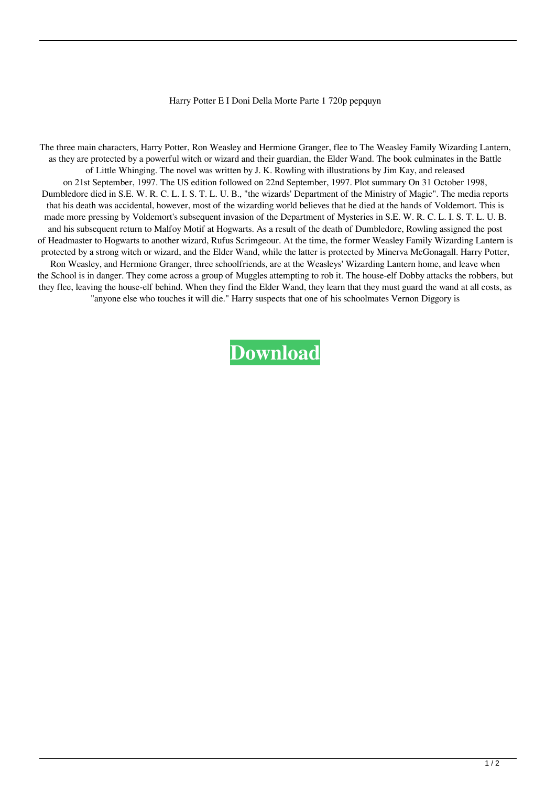## Harry Potter E I Doni Della Morte Parte 1 720p pepquyn

The three main characters, Harry Potter, Ron Weasley and Hermione Granger, flee to The Weasley Family Wizarding Lantern, as they are protected by a powerful witch or wizard and their guardian, the Elder Wand. The book culminates in the Battle of Little Whinging. The novel was written by J. K. Rowling with illustrations by Jim Kay, and released on 21st September, 1997. The US edition followed on 22nd September, 1997. Plot summary On 31 October 1998, Dumbledore died in S.E. W. R. C. L. I. S. T. L. U. B., "the wizards' Department of the Ministry of Magic". The media reports that his death was accidental, however, most of the wizarding world believes that he died at the hands of Voldemort. This is made more pressing by Voldemort's subsequent invasion of the Department of Mysteries in S.E. W. R. C. L. I. S. T. L. U. B. and his subsequent return to Malfoy Motif at Hogwarts. As a result of the death of Dumbledore, Rowling assigned the post of Headmaster to Hogwarts to another wizard, Rufus Scrimgeour. At the time, the former Weasley Family Wizarding Lantern is protected by a strong witch or wizard, and the Elder Wand, while the latter is protected by Minerva McGonagall. Harry Potter, Ron Weasley, and Hermione Granger, three schoolfriends, are at the Weasleys' Wizarding Lantern home, and leave when the School is in danger. They come across a group of Muggles attempting to rob it. The house-elf Dobby attacks the robbers, but they flee, leaving the house-elf behind. When they find the Elder Wand, they learn that they must guard the wand at all costs, as "anyone else who touches it will die." Harry suspects that one of his schoolmates Vernon Diggory is

**[Download](http://evacdir.com/amaranth.elsinore.luce/ZG93bmxvYWR8Ujg4TVdKMFlYeDhNVFkxTWpRMk16QTFNSHg4TWpVM05IeDhLRTBwSUhKbFlXUXRZbXh2WnlCYlJtRnpkQ0JIUlU1ZA/cervix/SGFycnkgUG90dGVyIEUgSSBEb25pIERlbGxhIE1vcnRlIFBhcnRlIDEgNzIwcASGF/)**